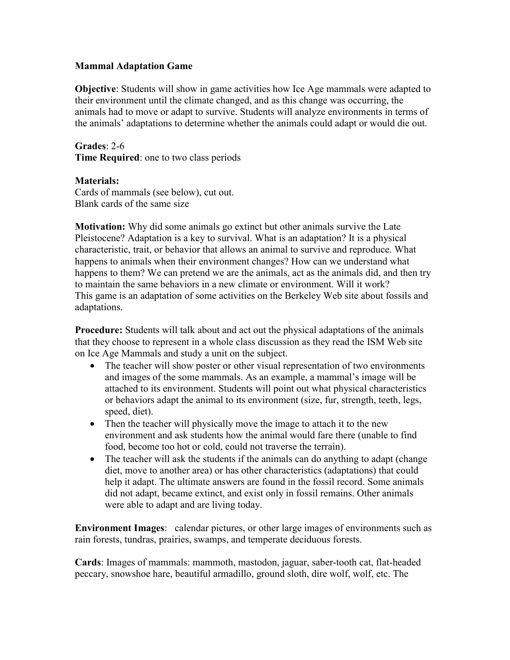## **Mammal Adaptation Game**

**Objective**: Students will show in game activities how Ice Age mammals were adapted to their environment until the climate changed, and as this change was occurring, the animals had to move or adapt to survive. Students will analyze environments in terms of the animals' adaptations to determine whether the animals could adapt or would die out.

**Grades**: 2-6 **Time Required**: one to two class periods

## **Materials:**

Cards of mammals (see below), cut out. Blank cards of the same size

**Motivation:** Why did some animals go extinct but other animals survive the Late Pleistocene? Adaptation is a key to survival. What is an adaptation? It is a physical characteristic, trait, or behavior that allows an animal to survive and reproduce. What happens to animals when their environment changes? How can we understand what happens to them? We can pretend we are the animals, act as the animals did, and then try to maintain the same behaviors in a new climate or environment. Will it work? This game is an adaptation of some activities on the Berkeley Web site about fossils and adaptations.

**Procedure:** Students will talk about and act out the physical adaptations of the animals that they choose to represent in a whole class discussion as they read the ISM Web site on Ice Age Mammals and study a unit on the subject.

- The teacher will show poster or other visual representation of two environments and images of the some mammals. As an example, a mammal's image will be attached to its environment. Students will point out what physical characteristics or behaviors adapt the animal to its environment (size, fur, strength, teeth, legs, speed, diet).
- Then the teacher will physically move the image to attach it to the new environment and ask students how the animal would fare there (unable to find food, become too hot or cold, could not traverse the terrain).
- The teacher will ask the students if the animals can do anything to adapt (change diet, move to another area) or has other characteristics (adaptations) that could help it adapt. The ultimate answers are found in the fossil record. Some animals did not adapt, became extinct, and exist only in fossil remains. Other animals were able to adapt and are living today.

**Environment Images**: calendar pictures, or other large images of environments such as rain forests, tundras, prairies, swamps, and temperate deciduous forests.

**Cards**: Images of mammals: mammoth, mastodon, jaguar, saber-tooth cat, flat-headed peccary, snowshoe hare, beautiful armadillo, ground sloth, dire wolf, wolf, etc. The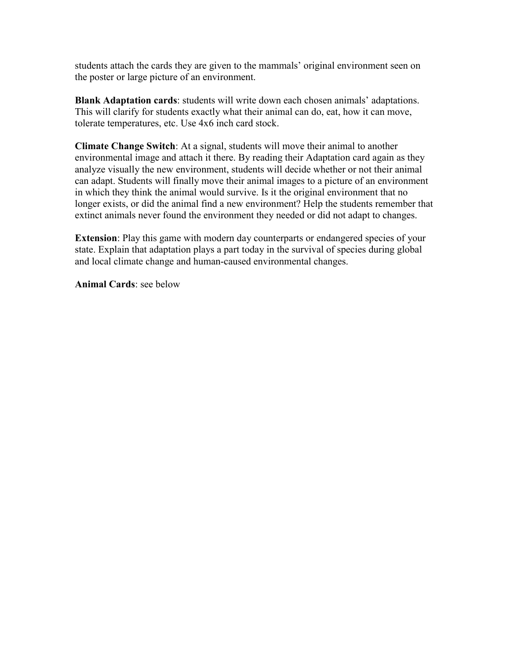students attach the cards they are given to the mammals' original environment seen on the poster or large picture of an environment.

**Blank Adaptation cards**: students will write down each chosen animals' adaptations. This will clarify for students exactly what their animal can do, eat, how it can move, tolerate temperatures, etc. Use 4x6 inch card stock.

**Climate Change Switch**: At a signal, students will move their animal to another environmental image and attach it there. By reading their Adaptation card again as they analyze visually the new environment, students will decide whether or not their animal can adapt. Students will finally move their animal images to a picture of an environment in which they think the animal would survive. Is it the original environment that no longer exists, or did the animal find a new environment? Help the students remember that extinct animals never found the environment they needed or did not adapt to changes.

**Extension**: Play this game with modern day counterparts or endangered species of your state. Explain that adaptation plays a part today in the survival of species during global and local climate change and human-caused environmental changes.

**Animal Cards**: see below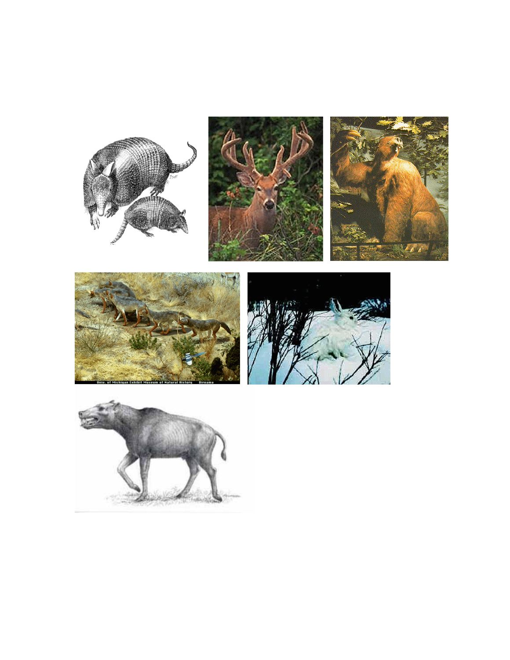